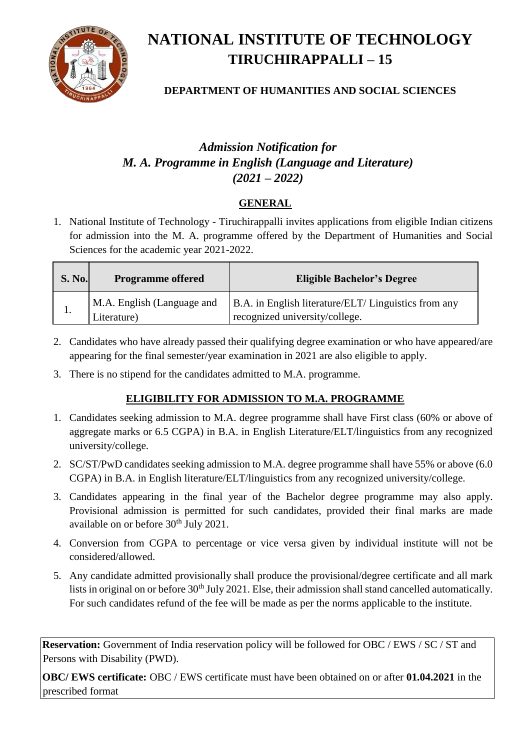

# **NATIONAL INSTITUTE OF TECHNOLOGY TIRUCHIRAPPALLI – 15**

## **DEPARTMENT OF HUMANITIES AND SOCIAL SCIENCES**

# *Admission Notification for M. A. Programme in English (Language and Literature) (2021 – 2022)*

# **GENERAL**

1. National Institute of Technology - Tiruchirappalli invites applications from eligible Indian citizens for admission into the M. A. programme offered by the Department of Humanities and Social Sciences for the academic year 2021-2022.

| <b>S. No.</b> | <b>Programme offered</b>                  | <b>Eligible Bachelor's Degree</b>                                                      |
|---------------|-------------------------------------------|----------------------------------------------------------------------------------------|
| 1.            | M.A. English (Language and<br>Literature) | B.A. in English literature/ELT/ Linguistics from any<br>recognized university/college. |

- 2. Candidates who have already passed their qualifying degree examination or who have appeared/are appearing for the final semester/year examination in 2021 are also eligible to apply.
- 3. There is no stipend for the candidates admitted to M.A. programme.

# **ELIGIBILITY FOR ADMISSION TO M.A. PROGRAMME**

- 1. Candidates seeking admission to M.A. degree programme shall have First class (60% or above of aggregate marks or 6.5 CGPA) in B.A. in English Literature/ELT/linguistics from any recognized university/college.
- 2. SC/ST/PwD candidates seeking admission to M.A. degree programme shall have 55% or above (6.0 CGPA) in B.A. in English literature/ELT/linguistics from any recognized university/college.
- 3. Candidates appearing in the final year of the Bachelor degree programme may also apply. Provisional admission is permitted for such candidates, provided their final marks are made available on or before 30<sup>th</sup> July 2021.
- 4. Conversion from CGPA to percentage or vice versa given by individual institute will not be considered/allowed.
- 5. Any candidate admitted provisionally shall produce the provisional/degree certificate and all mark lists in original on or before 30<sup>th</sup> July 2021. Else, their admission shall stand cancelled automatically. For such candidates refund of the fee will be made as per the norms applicable to the institute.

**Reservation:** Government of India reservation policy will be followed for OBC / EWS / SC / ST and Persons with Disability (PWD).

**OBC/ EWS certificate:** OBC / EWS certificate must have been obtained on or after **01.04.2021** in the prescribed format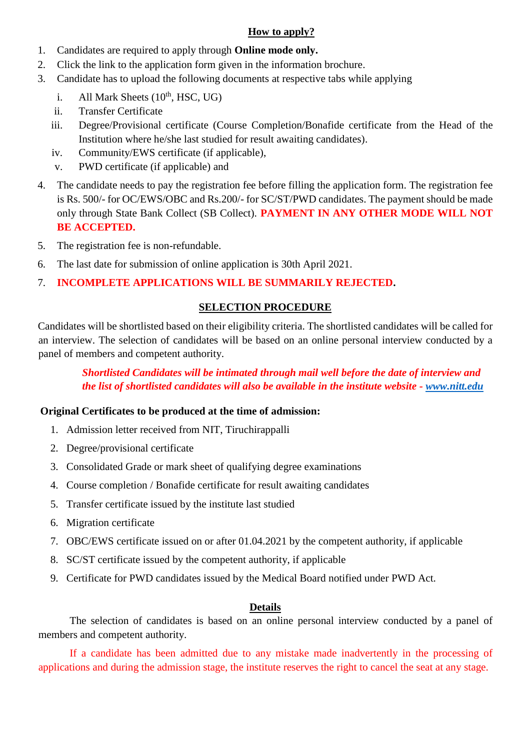#### **How to apply?**

- 1. Candidates are required to apply through **Online mode only.**
- 2. Click the link to the application form given in the information brochur[e.](http://www.nitt.edu/)
- 3. Candidate has to upload the following documents at respective tabs while applying
	- i. All Mark Sheets  $(10<sup>th</sup>, HSC, UG)$
	- ii. Transfer Certificate
	- iii. Degree/Provisional certificate (Course Completion/Bonafide certificate from the Head of the Institution where he/she last studied for result awaiting candidates).
	- iv. Community/EWS certificate (if applicable),
	- v. PWD certificate (if applicable) and
- 4. The candidate needs to pay the registration fee before filling the application form. The registration fee is Rs. 500/- for OC/EWS/OBC and Rs.200/- for SC/ST/PWD candidates. The payment should be made only through State Bank Collect (SB Collect). **PAYMENT IN ANY OTHER MODE WILL NOT BE ACCEPTED.**
- 5. The registration fee is non-refundable.
- 6. The last date for submission of online application is 30th April 2021.
- 7. **INCOMPLETE APPLICATIONS WILL BE SUMMARILY REJECTED.**

## **SELECTION PROCEDURE**

Candidates will be shortlisted based on their eligibility criteria. The shortlisted candidates will be called for an interview. The selection of candidates will be based on an online personal interview conducted by a panel of members and competent authority.

## *Shortlisted Candidates will be intimated through mail well before the date of interview and the list of shortlisted candidates will also be available in the institute website [-](http://www.nitt.edu/) [www.nitt.edu](http://www.nitt.edu/)*

### **Original Certificates to be produced at the time of admission:**

- 1. Admission letter received from NIT, Tiruchirappalli
- 2. Degree/provisional certificate
- 3. Consolidated Grade or mark sheet of qualifying degree examinations
- 4. Course completion / Bonafide certificate for result awaiting candidates
- 5. Transfer certificate issued by the institute last studied
- 6. Migration certificate
- 7. OBC/EWS certificate issued on or after 01.04.2021 by the competent authority, if applicable
- 8. SC/ST certificate issued by the competent authority, if applicable
- 9. Certificate for PWD candidates issued by the Medical Board notified under PWD Act.

### **Details**

The selection of candidates is based on an online personal interview conducted by a panel of members and competent authority.

If a candidate has been admitted due to any mistake made inadvertently in the processing of applications and during the admission stage, the institute reserves the right to cancel the seat at any stage.